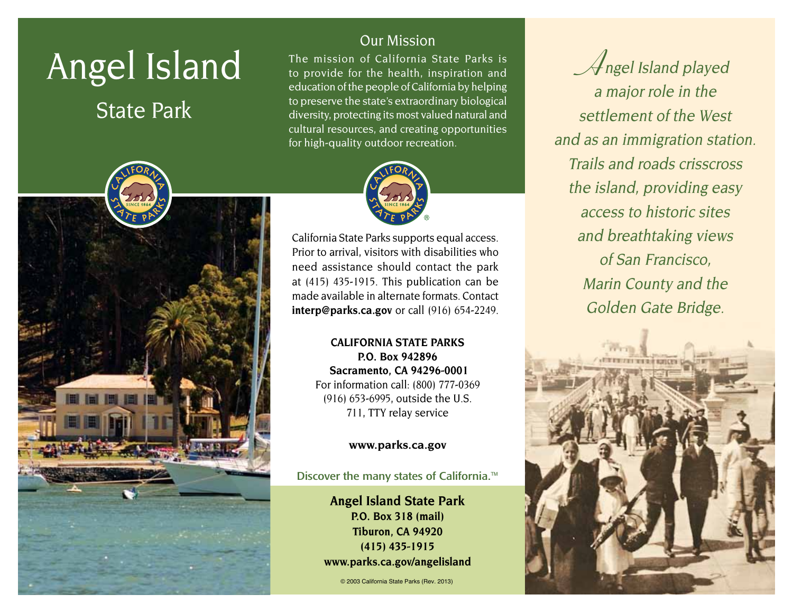# Angel Island

# State Park



# Our Mission

The mission of California State Parks is to provide for the health, inspiration and education of the people of California by helping to preserve the state's extraordinary biological diversity, protecting its most valued natural and cultural resources, and creating opportunities for high-quality outdoor recreation.



California State Parks supports equal access. Prior to arrival, visitors with disabilities who need assistance should contact the park at (415) 435-1915. This publication can be made available in alternate formats. Contact **interp@parks.ca.gov** or call (916) 654-2249.

> **CALIFORNIA STATE PARKS P.O. Box 942896 Sacramento, CA 94296-0001** For information call: (800) 777-0369 (916) 653-6995, outside the U.S. 711, TTY relay service

#### **www.parks.ca.gov**

Discover the many states of California.<sup>™</sup>

**Angel Island State Park P.O. Box 318 (mail) Tiburon, CA 94920 (415) 435-1915 www.parks.ca.gov/angelisland**

© 2003 California State Parks (Rev. 2013)

**A**ngel Island played a major role in the settlement of the West and as an immigration station. Trails and roads crisscross the island, providing easy access to historic sites and breathtaking views of San Francisco, Marin County and the Golden Gate Bridge.

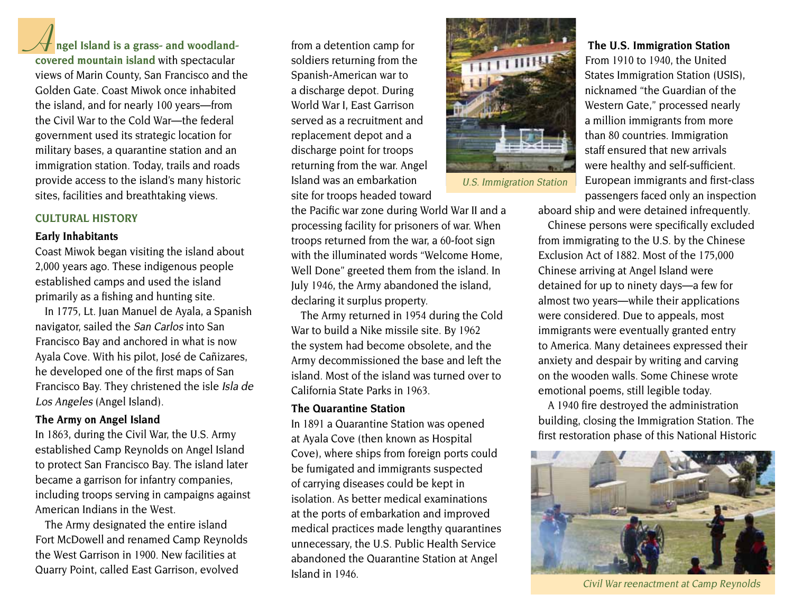**A** ngel Island is a grass- and woodland-<br> **A** from a detention camp for

**covered mountain island** with spectacular views of Marin County, San Francisco and the Golden Gate. Coast Miwok once inhabited the island, and for nearly 100 years—from the Civil War to the Cold War—the federal government used its strategic location for military bases, a quarantine station and an immigration station. Today, trails and roads provide access to the island's many historic sites, facilities and breathtaking views.

#### **CULTURAL HISTORY**

#### **Early Inhabitants**

Coast Miwok began visiting the island about 2,000 years ago. These indigenous people established camps and used the island primarily as a fishing and hunting site.

In 1775, Lt. Juan Manuel de Ayala, a Spanish navigator, sailed the San Carlos into San Francisco Bay and anchored in what is now Ayala Cove. With his pilot, José de Cañizares, he developed one of the first maps of San Francisco Bay. They christened the isle Isla de Los Angeles (Angel Island).

#### **The Army on Angel Island**

In 1863, during the Civil War, the U.S. Army established Camp Reynolds on Angel Island to protect San Francisco Bay. The island later became a garrison for infantry companies, including troops serving in campaigns against American Indians in the West.

The Army designated the entire island Fort McDowell and renamed Camp Reynolds the West Garrison in 1900. New facilities at Quarry Point, called East Garrison, evolved

soldiers returning from the Spanish-American war to a discharge depot. During World War I, East Garrison served as a recruitment and replacement depot and a discharge point for troops returning from the war. Angel Island was an embarkation site for troops headed toward

the Pacific war zone during World War II and a processing facility for prisoners of war. When troops returned from the war, a 60-foot sign with the illuminated words "Welcome Home, Well Done" greeted them from the island. In July 1946, the Army abandoned the island, declaring it surplus property.

The Army returned in 1954 during the Cold War to build a Nike missile site. By 1962 the system had become obsolete, and the Army decommissioned the base and left the island. Most of the island was turned over to California State Parks in 1963.

#### **The Quarantine Station**

In 1891 a Quarantine Station was opened at Ayala Cove (then known as Hospital Cove), where ships from foreign ports could be fumigated and immigrants suspected of carrying diseases could be kept in isolation. As better medical examinations at the ports of embarkation and improved medical practices made lengthy quarantines unnecessary, the U.S. Public Health Service abandoned the Quarantine Station at Angel Island in 1946.



U.S. Immigration Station

#### **The U.S. Immigration Station**

From 1910 to 1940, the United States Immigration Station (USIS), nicknamed "the Guardian of the Western Gate," processed nearly a million immigrants from more than 80 countries. Immigration staff ensured that new arrivals were healthy and self-sufficient. European immigrants and first-class passengers faced only an inspection

aboard ship and were detained infrequently.

Chinese persons were specifically excluded from immigrating to the U.S. by the Chinese Exclusion Act of 1882. Most of the 175,000 Chinese arriving at Angel Island were detained for up to ninety days—a few for almost two years—while their applications were considered. Due to appeals, most immigrants were eventually granted entry to America. Many detainees expressed their anxiety and despair by writing and carving on the wooden walls. Some Chinese wrote emotional poems, still legible today.

A 1940 fire destroyed the administration building, closing the Immigration Station. The first restoration phase of this National Historic



Civil War reenactment at Camp Reynolds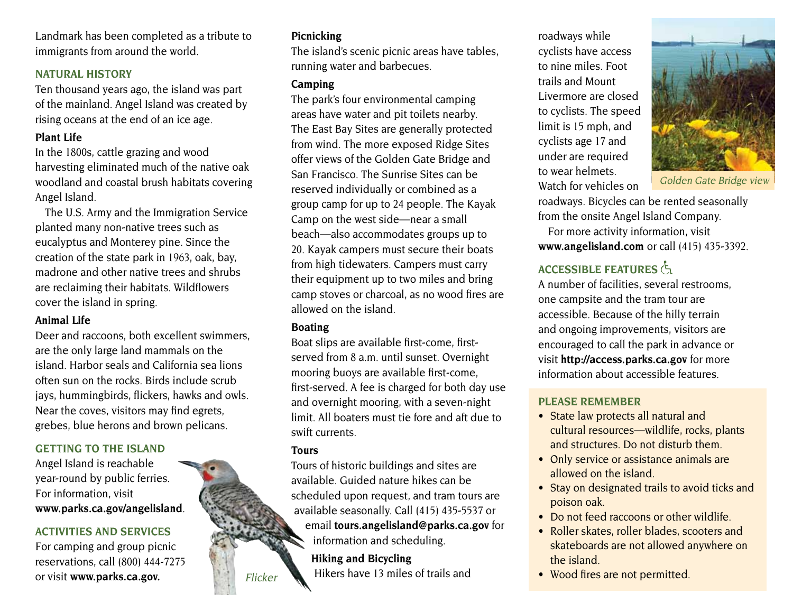Landmark has been completed as a tribute to immigrants from around the world.

#### **NATURAL HISTORY**

Ten thousand years ago, the island was part of the mainland. Angel Island was created by rising oceans at the end of an ice age.

#### **Plant Life**

In the 1800s, cattle grazing and wood harvesting eliminated much of the native oak woodland and coastal brush habitats covering Angel Island.

The U.S. Army and the Immigration Service planted many non-native trees such as eucalyptus and Monterey pine. Since the creation of the state park in 1963, oak, bay, madrone and other native trees and shrubs are reclaiming their habitats. Wildflowers cover the island in spring.

#### **Animal Life**

Deer and raccoons, both excellent swimmers, are the only large land mammals on the island. Harbor seals and California sea lions often sun on the rocks. Birds include scrub jays, hummingbirds, flickers, hawks and owls. Near the coves, visitors may find egrets, grebes, blue herons and brown pelicans.

#### **Getting to the Island**

Angel Island is reachable year-round by public ferries. For information, visit **www.parks.ca.gov/angelisland**.

#### **Activities and Services**

For camping and group picnic reservations, call (800) 444-7275 or visit **www.parks.ca.gov.**

### **Picnicking**

The island's scenic picnic areas have tables, running water and barbecues.

#### **Camping**

The park's four environmental camping areas have water and pit toilets nearby. The East Bay Sites are generally protected from wind. The more exposed Ridge Sites offer views of the Golden Gate Bridge and San Francisco. The Sunrise Sites can be reserved individually or combined as a group camp for up to 24 people. The Kayak Camp on the west side—near a small beach—also accommodates groups up to 20. Kayak campers must secure their boats from high tidewaters. Campers must carry their equipment up to two miles and bring camp stoves or charcoal, as no wood fires are allowed on the island.

#### **Boating**

Boat slips are available first-come, firstserved from 8 a.m. until sunset. Overnight mooring buoys are available first-come, first-served. A fee is charged for both day use and overnight mooring, with a seven-night limit. All boaters must tie fore and aft due to swift currents.

#### **Tours**

Tours of historic buildings and sites are available. Guided nature hikes can be scheduled upon request, and tram tours are available seasonally. Call (415) 435-5537 or email **tours.angelisland@parks.ca.gov** for information and scheduling.

**Hiking and Bicycling** Hikers have 13 miles of trails and

roadways while cyclists have access to nine miles. Foot trails and Mount Livermore are closed to cyclists. The speed limit is 15 mph, and cyclists age 17 and under are required to wear helmets. Watch for vehicles on



Golden Gate Bridge view

roadways. Bicycles can be rented seasonally from the onsite Angel Island Company.

For more activity information, visit **www.angelisland.com** or call (415) 435-3392.

# **Accessible FEATURES**

A number of facilities, several restrooms, one campsite and the tram tour are accessible. Because of the hilly terrain and ongoing improvements, visitors are encouraged to call the park in advance or visit **http://access.parks.ca.gov** for more information about accessible features.

#### **please remember**

- State law protects all natural and cultural resources—wildlife, rocks, plants and structures. Do not disturb them.
- Only service or assistance animals are allowed on the island.
- Stay on designated trails to avoid ticks and poison oak.
- Do not feed raccoons or other wildlife.
- Roller skates, roller blades, scooters and skateboards are not allowed anywhere on the island.
- Flicker **History Hikers have 13 miles of trails and Wood fires are not permitted.**